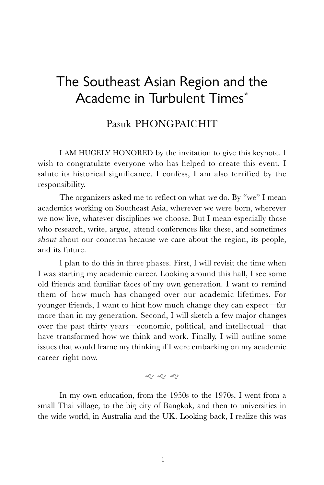# The Southeast Asian Region and the Academe in Turbulent Times\*

## Pasuk PHONGPAICHIT

I AM HUGELY HONORED by the invitation to give this keynote. I wish to congratulate everyone who has helped to create this event. I salute its historical significance. I confess, I am also terrified by the responsibility.

The organizers asked me to reflect on what we do. By "we" I mean academics working on Southeast Asia, wherever we were born, wherever we now live, whatever disciplines we choose. But I mean especially those who research, write, argue, attend conferences like these, and sometimes shout about our concerns because we care about the region, its people, and its future.

I plan to do this in three phases. First, I will revisit the time when I was starting my academic career. Looking around this hall, I see some old friends and familiar faces of my own generation. I want to remind them of how much has changed over our academic lifetimes. For younger friends, I want to hint how much change they can expect—far more than in my generation. Second, I will sketch a few major changes over the past thirty years—economic, political, and intellectual—that have transformed how we think and work. Finally, I will outline some issues that would frame my thinking if I were embarking on my academic career right now.

g g g

In my own education, from the 1950s to the 1970s, I went from a small Thai village, to the big city of Bangkok, and then to universities in the wide world, in Australia and the UK. Looking back, I realize this was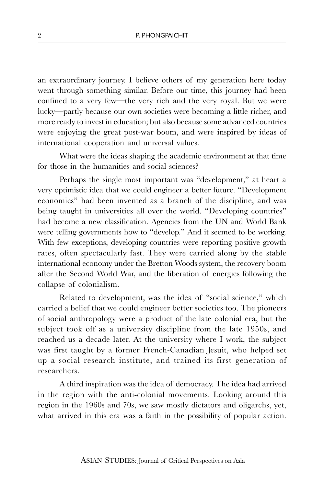an extraordinary journey. I believe others of my generation here today went through something similar. Before our time, this journey had been confined to a very few—the very rich and the very royal. But we were lucky—partly because our own societies were becoming a little richer, and more ready to invest in education; but also because some advanced countries were enjoying the great post-war boom, and were inspired by ideas of international cooperation and universal values.

What were the ideas shaping the academic environment at that time for those in the humanities and social sciences?

Perhaps the single most important was "development," at heart a very optimistic idea that we could engineer a better future. "Development economics" had been invented as a branch of the discipline, and was being taught in universities all over the world. "Developing countries" had become a new classification. Agencies from the UN and World Bank were telling governments how to "develop." And it seemed to be working. With few exceptions, developing countries were reporting positive growth rates, often spectacularly fast. They were carried along by the stable international economy under the Bretton Woods system, the recovery boom after the Second World War, and the liberation of energies following the collapse of colonialism.

Related to development, was the idea of "social science," which carried a belief that we could engineer better societies too. The pioneers of social anthropology were a product of the late colonial era, but the subject took off as a university discipline from the late 1950s, and reached us a decade later. At the university where I work, the subject was first taught by a former French-Canadian Jesuit, who helped set up a social research institute, and trained its first generation of researchers.

A third inspiration was the idea of democracy. The idea had arrived in the region with the anti-colonial movements. Looking around this region in the 1960s and 70s, we saw mostly dictators and oligarchs, yet, what arrived in this era was a faith in the possibility of popular action.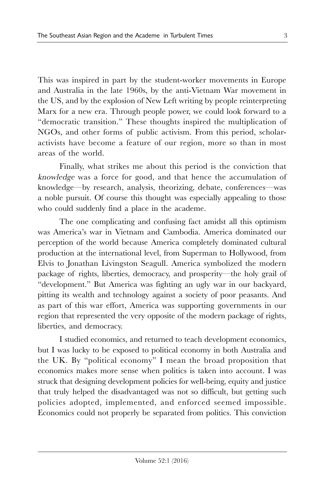This was inspired in part by the student-worker movements in Europe and Australia in the late 1960s, by the anti-Vietnam War movement in the US, and by the explosion of New Left writing by people reinterpreting Marx for a new era. Through people power, we could look forward to a "democratic transition." These thoughts inspired the multiplication of NGOs, and other forms of public activism. From this period, scholaractivists have become a feature of our region, more so than in most areas of the world.

Finally, what strikes me about this period is the conviction that knowledge was a force for good, and that hence the accumulation of knowledge—by research, analysis, theorizing, debate, conferences—was a noble pursuit. Of course this thought was especially appealing to those who could suddenly find a place in the academe.

The one complicating and confusing fact amidst all this optimism was America's war in Vietnam and Cambodia. America dominated our perception of the world because America completely dominated cultural production at the international level, from Superman to Hollywood, from Elvis to Jonathan Livingston Seagull. America symbolized the modern package of rights, liberties, democracy, and prosperity—the holy grail of "development." But America was fighting an ugly war in our backyard, pitting its wealth and technology against a society of poor peasants. And as part of this war effort, America was supporting governments in our region that represented the very opposite of the modern package of rights, liberties, and democracy.

I studied economics, and returned to teach development economics, but I was lucky to be exposed to political economy in both Australia and the UK. By "political economy" I mean the broad proposition that economics makes more sense when politics is taken into account. I was struck that designing development policies for well-being, equity and justice that truly helped the disadvantaged was not so difficult, but getting such policies adopted, implemented, and enforced seemed impossible. Economics could not properly be separated from politics. This conviction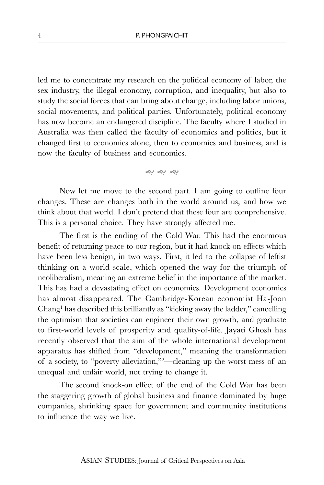led me to concentrate my research on the political economy of labor, the sex industry, the illegal economy, corruption, and inequality, but also to study the social forces that can bring about change, including labor unions, social movements, and political parties. Unfortunately, political economy has now become an endangered discipline. The faculty where I studied in Australia was then called the faculty of economics and politics, but it changed first to economics alone, then to economics and business, and is now the faculty of business and economics.

g g g

Now let me move to the second part. I am going to outline four changes. These are changes both in the world around us, and how we think about that world. I don't pretend that these four are comprehensive. This is a personal choice. They have strongly affected me.

The first is the ending of the Cold War. This had the enormous benefit of returning peace to our region, but it had knock-on effects which have been less benign, in two ways. First, it led to the collapse of leftist thinking on a world scale, which opened the way for the triumph of neoliberalism, meaning an extreme belief in the importance of the market. This has had a devastating effect on economics. Development economics has almost disappeared. The Cambridge-Korean economist Ha-Joon Chang<sup>1</sup> has described this brilliantly as "kicking away the ladder," cancelling the optimism that societies can engineer their own growth, and graduate to first-world levels of prosperity and quality-of-life. Jayati Ghosh has recently observed that the aim of the whole international development apparatus has shifted from "development," meaning the transformation of a society, to "poverty alleviation," <sup>2</sup>—cleaning up the worst mess of an unequal and unfair world, not trying to change it.

The second knock-on effect of the end of the Cold War has been the staggering growth of global business and finance dominated by huge companies, shrinking space for government and community institutions to influence the way we live.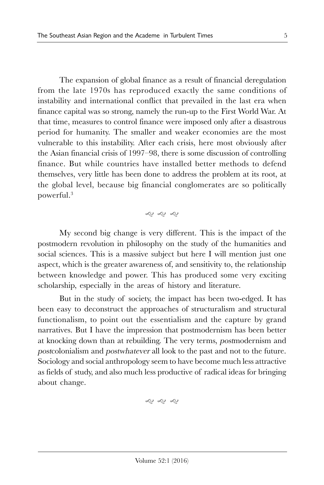The expansion of global finance as a result of financial deregulation from the late 1970s has reproduced exactly the same conditions of instability and international conflict that prevailed in the last era when finance capital was so strong, namely the run-up to the First World War. At that time, measures to control finance were imposed only after a disastrous period for humanity. The smaller and weaker economies are the most vulnerable to this instability. After each crisis, here most obviously after the Asian financial crisis of 1997–98, there is some discussion of controlling finance. But while countries have installed better methods to defend themselves, very little has been done to address the problem at its root, at the global level, because big financial conglomerates are so politically powerful.<sup>3</sup>

## g g g

My second big change is very different. This is the impact of the postmodern revolution in philosophy on the study of the humanities and social sciences. This is a massive subject but here I will mention just one aspect, which is the greater awareness of, and sensitivity to, the relationship between knowledge and power. This has produced some very exciting scholarship, especially in the areas of history and literature.

But in the study of society, the impact has been two-edged. It has been easy to deconstruct the approaches of structuralism and structural functionalism, to point out the essentialism and the capture by grand narratives. But I have the impression that postmodernism has been better at knocking down than at rebuilding. The very terms, postmodernism and postcolonialism and postwhatever all look to the past and not to the future. Sociology and social anthropology seem to have become much less attractive as fields of study, and also much less productive of radical ideas for bringing about change.

$$
\hat{\mathcal{S}} \, \, \hat{\mathcal{S}} \, \, \hat{\mathcal{S}}
$$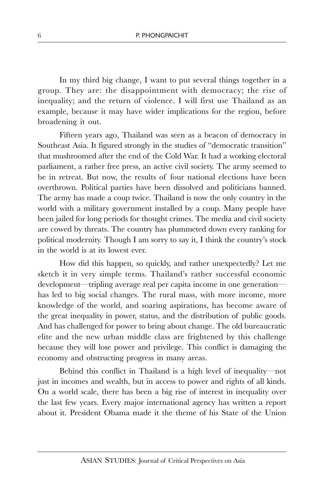In my third big change, I want to put several things together in a group. They are: the disappointment with democracy; the rise of inequality; and the return of violence. I will first use Thailand as an example, because it may have wider implications for the region, before broadening it out.

Fifteen years ago, Thailand was seen as a beacon of democracy in Southeast Asia. It figured strongly in the studies of "democratic transition" that mushroomed after the end of the Cold War. It had a working electoral parliament, a rather free press, an active civil society. The army seemed to be in retreat. But now, the results of four national elections have been overthrown. Political parties have been dissolved and politicians banned. The army has made a coup twice. Thailand is now the only country in the world with a military government installed by a coup. Many people have been jailed for long periods for thought crimes. The media and civil society are cowed by threats. The country has plummeted down every ranking for political modernity. Though I am sorry to say it, I think the country's stock in the world is at its lowest ever.

How did this happen, so quickly, and rather unexpectedly? Let me sketch it in very simple terms. Thailand's rather successful economic development—tripling average real per capita income in one generation has led to big social changes. The rural mass, with more income, more knowledge of the world, and soaring aspirations, has become aware of the great inequality in power, status, and the distribution of public goods. And has challenged for power to bring about change. The old bureaucratic elite and the new urban middle class are frightened by this challenge because they will lose power and privilege. This conflict is damaging the economy and obstructing progress in many areas.

Behind this conflict in Thailand is a high level of inequality—not just in incomes and wealth, but in access to power and rights of all kinds. On a world scale, there has been a big rise of interest in inequality over the last few years. Every major international agency has written a report about it. President Obama made it the theme of his State of the Union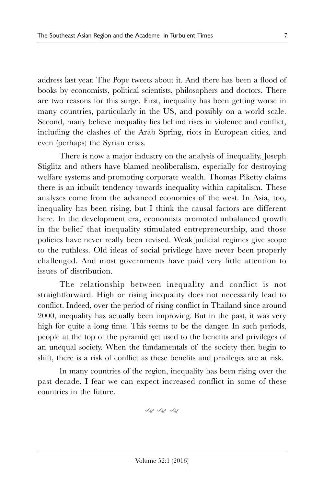address last year. The Pope tweets about it. And there has been a flood of books by economists, political scientists, philosophers and doctors. There are two reasons for this surge. First, inequality has been getting worse in many countries, particularly in the US, and possibly on a world scale. Second, many believe inequality lies behind rises in violence and conflict, including the clashes of the Arab Spring, riots in European cities, and even (perhaps) the Syrian crisis.

There is now a major industry on the analysis of inequality. Joseph Stiglitz and others have blamed neoliberalism, especially for destroying welfare systems and promoting corporate wealth. Thomas Piketty claims there is an inbuilt tendency towards inequality within capitalism. These analyses come from the advanced economies of the west. In Asia, too, inequality has been rising, but I think the causal factors are different here. In the development era, economists promoted unbalanced growth in the belief that inequality stimulated entrepreneurship, and those policies have never really been revised. Weak judicial regimes give scope to the ruthless. Old ideas of social privilege have never been properly challenged. And most governments have paid very little attention to issues of distribution.

The relationship between inequality and conflict is not straightforward. High or rising inequality does not necessarily lead to conflict. Indeed, over the period of rising conflict in Thailand since around 2000, inequality has actually been improving. But in the past, it was very high for quite a long time. This seems to be the danger. In such periods, people at the top of the pyramid get used to the benefits and privileges of an unequal society. When the fundamentals of the society then begin to shift, there is a risk of conflict as these benefits and privileges are at risk.

In many countries of the region, inequality has been rising over the past decade. I fear we can expect increased conflict in some of these countries in the future.

g g g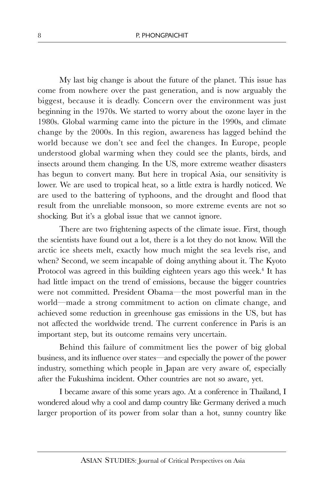My last big change is about the future of the planet. This issue has come from nowhere over the past generation, and is now arguably the biggest, because it is deadly. Concern over the environment was just beginning in the 1970s. We started to worry about the ozone layer in the 1980s. Global warming came into the picture in the 1990s, and climate change by the 2000s. In this region, awareness has lagged behind the world because we don't see and feel the changes. In Europe, people understood global warming when they could see the plants, birds, and insects around them changing. In the US, more extreme weather disasters has begun to convert many. But here in tropical Asia, our sensitivity is lower. We are used to tropical heat, so a little extra is hardly noticed. We are used to the battering of typhoons, and the drought and flood that result from the unreliable monsoon, so more extreme events are not so shocking. But it's a global issue that we cannot ignore.

There are two frightening aspects of the climate issue. First, though the scientists have found out a lot, there is a lot they do not know. Will the arctic ice sheets melt, exactly how much might the sea levels rise, and when? Second, we seem incapable of doing anything about it. The Kyoto Protocol was agreed in this building eighteen years ago this week.<sup>4</sup> It has had little impact on the trend of emissions, because the bigger countries were not committed. President Obama—the most powerful man in the world—made a strong commitment to action on climate change, and achieved some reduction in greenhouse gas emissions in the US, but has not affected the worldwide trend. The current conference in Paris is an important step, but its outcome remains very uncertain.

Behind this failure of commitment lies the power of big global business, and its influence over states—and especially the power of the power industry, something which people in Japan are very aware of, especially after the Fukushima incident. Other countries are not so aware, yet.

I became aware of this some years ago. At a conference in Thailand, I wondered aloud why a cool and damp country like Germany derived a much larger proportion of its power from solar than a hot, sunny country like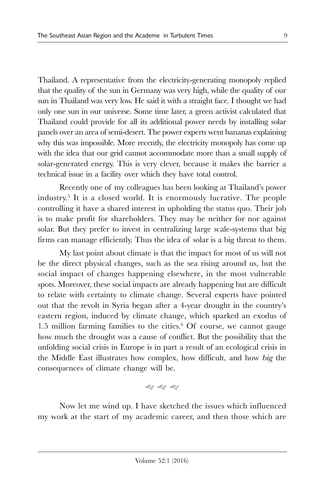Thailand. A representative from the electricity-generating monopoly replied that the quality of the sun in Germany was very high, while the quality of our sun in Thailand was very low. He said it with a straight face. I thought we had only one sun in our universe. Some time later, a green activist calculated that Thailand could provide for all its additional power needs by installing solar panels over an area of semi-desert. The power experts went bananas explaining why this was impossible. More recently, the electricity monopoly has come up with the idea that our grid cannot accommodate more than a small supply of solar-generated energy. This is very clever, because it makes the barrier a technical issue in a facility over which they have total control.

Recently one of my colleagues has been looking at Thailand's power industry.<sup>5</sup> It is a closed world. It is enormously lucrative. The people controlling it have a shared interest in upholding the status quo. Their job is to make profit for shareholders. They may be neither for nor against solar. But they prefer to invest in centralizing large scale-systems that big firms can manage efficiently. Thus the idea of solar is a big threat to them.

My last point about climate is that the impact for most of us will not be the direct physical changes, such as the sea rising around us, but the social impact of changes happening elsewhere, in the most vulnerable spots. Moreover, these social impacts are already happening but are difficult to relate with certainty to climate change. Several experts have pointed out that the revolt in Syria began after a 4-year drought in the country's eastern region, induced by climate change, which sparked an exodus of 1.5 million farming families to the cities. 6 Of course, we cannot gauge how much the drought was a cause of conflict. But the possibility that the unfolding social crisis in Europe is in part a result of an ecological crisis in the Middle East illustrates how complex, how difficult, and how big the consequences of climate change will be.

g g g

Now let me wind up. I have sketched the issues which influenced my work at the start of my academic career, and then those which are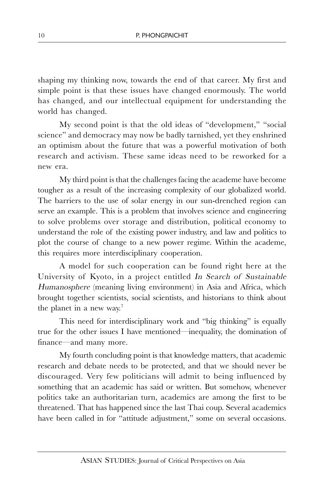shaping my thinking now, towards the end of that career. My first and simple point is that these issues have changed enormously. The world has changed, and our intellectual equipment for understanding the world has changed.

My second point is that the old ideas of "development," "social science" and democracy may now be badly tarnished, yet they enshrined an optimism about the future that was a powerful motivation of both research and activism. These same ideas need to be reworked for a new era.

My third point is that the challenges facing the academe have become tougher as a result of the increasing complexity of our globalized world. The barriers to the use of solar energy in our sun-drenched region can serve an example. This is a problem that involves science and engineering to solve problems over storage and distribution, political economy to understand the role of the existing power industry, and law and politics to plot the course of change to a new power regime. Within the academe, this requires more interdisciplinary cooperation.

A model for such cooperation can be found right here at the University of Kyoto, in a project entitled In Search of Sustainable Humanosphere (meaning living environment) in Asia and Africa, which brought together scientists, social scientists, and historians to think about the planet in a new way.<sup>7</sup>

This need for interdisciplinary work and "big thinking" is equally true for the other issues I have mentioned—inequality, the domination of finance—and many more.

My fourth concluding point is that knowledge matters, that academic research and debate needs to be protected, and that we should never be discouraged. Very few politicians will admit to being influenced by something that an academic has said or written. But somehow, whenever politics take an authoritarian turn, academics are among the first to be threatened. That has happened since the last Thai coup. Several academics have been called in for "attitude adjustment," some on several occasions.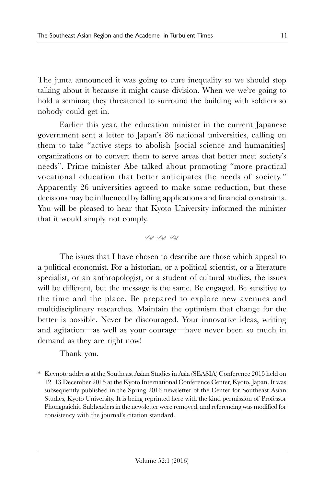The junta announced it was going to cure inequality so we should stop talking about it because it might cause division. When we we're going to hold a seminar, they threatened to surround the building with soldiers so nobody could get in.

Earlier this year, the education minister in the current Japanese government sent a letter to Japan's 86 national universities, calling on them to take "active steps to abolish [social science and humanities] organizations or to convert them to serve areas that better meet society's needs". Prime minister Abe talked about promoting "more practical vocational education that better anticipates the needs of society." Apparently 26 universities agreed to make some reduction, but these decisions may be influenced by falling applications and financial constraints. You will be pleased to hear that Kyoto University informed the minister that it would simply not comply.

g g g

The issues that I have chosen to describe are those which appeal to a political economist. For a historian, or a political scientist, or a literature specialist, or an anthropologist, or a student of cultural studies, the issues will be different, but the message is the same. Be engaged. Be sensitive to the time and the place. Be prepared to explore new avenues and multidisciplinary researches. Maintain the optimism that change for the better is possible. Never be discouraged. Your innovative ideas, writing and agitation—as well as your courage—have never been so much in demand as they are right now!

Thank you.

\* Keynote address at the Southeast Asian Studies in Asia (SEASIA) Conference 2015 held on 12–13 December 2015 at the Kyoto International Conference Center, Kyoto, Japan. It was subsequently published in the Spring 2016 newsletter of the Center for Southeast Asian Studies, Kyoto University. It is being reprinted here with the kind permission of Professor Phongpaichit. Subheaders in the newsletter were removed, and referencing was modified for consistency with the journal's citation standard.